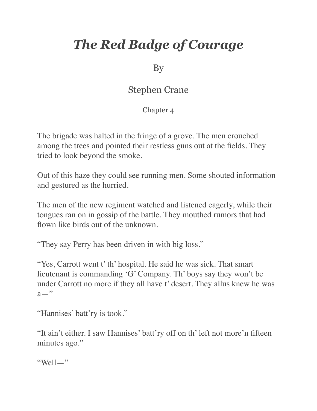## *The Red Badge of Courage*

By

## Stephen Crane

Chapter 4

The brigade was halted in the fringe of a grove. The men crouched among the trees and pointed their restless guns out at the fields. They tried to look beyond the smoke.

Out of this haze they could see running men. Some shouted information and gestured as the hurried.

The men of the new regiment watched and listened eagerly, while their tongues ran on in gossip of the battle. They mouthed rumors that had flown like birds out of the unknown.

"They say Perry has been driven in with big loss."

"Yes, Carrott went t' th' hospital. He said he was sick. That smart lieutenant is commanding 'G' Company. Th' boys say they won't be under Carrott no more if they all have t' desert. They allus knew he was  $a-$ "

"Hannises' batt'ry is took."

"It ain't either. I saw Hannises' batt'ry off on th' left not more'n fifteen minutes ago."

"Well $-$ "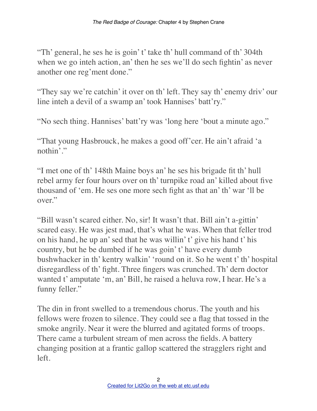"Th' general, he ses he is goin' t' take th' hull command of th' 304th when we go inteh action, an' then he ses we'll do sech fightin' as never another one reg'ment done."

"They say we're catchin' it over on th' left. They say th' enemy driv' our line inteh a devil of a swamp an' took Hannises' batt'ry."

"No sech thing. Hannises' batt'ry was 'long here 'bout a minute ago."

"That young Hasbrouck, he makes a good off'cer. He ain't afraid 'a nothin'."

"I met one of th' 148th Maine boys an' he ses his brigade fit th' hull rebel army fer four hours over on th' turnpike road an' killed about five thousand of 'em. He ses one more sech fight as that an' th' war 'll be over."

"Bill wasn't scared either. No, sir! It wasn't that. Bill ain't a-gittin' scared easy. He was jest mad, that's what he was. When that feller trod on his hand, he up an' sed that he was willin' t' give his hand t' his country, but he be dumbed if he was goin' t' have every dumb bushwhacker in th' kentry walkin' 'round on it. So he went t' th' hospital disregardless of th' fight. Three fingers was crunched. Th' dern doctor wanted t' amputate 'm, an' Bill, he raised a heluva row, I hear. He's a funny feller."

The din in front swelled to a tremendous chorus. The youth and his fellows were frozen to silence. They could see a flag that tossed in the smoke angrily. Near it were the blurred and agitated forms of troops. There came a turbulent stream of men across the fields. A battery changing position at a frantic gallop scattered the stragglers right and left.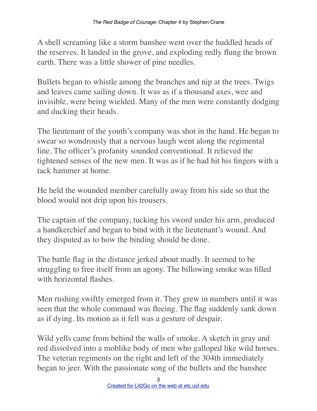A shell screaming like a storm banshee went over the huddled heads of the reserves. It landed in the grove, and exploding redly flung the brown earth. There was a little shower of pine needles.

Bullets began to whistle among the branches and nip at the trees. Twigs and leaves came sailing down. It was as if a thousand axes, wee and invisible, were being wielded. Many of the men were constantly dodging and ducking their heads.

The lieutenant of the youth's company was shot in the hand. He began to swear so wondrously that a nervous laugh went along the regimental line. The officer's profanity sounded conventional. It relieved the tightened senses of the new men. It was as if he had hit his fingers with a tack hammer at home.

He held the wounded member carefully away from his side so that the blood would not drip upon his trousers.

The captain of the company, tucking his sword under his arm, produced a handkerchief and began to bind with it the lieutenant's wound. And they disputed as to how the binding should be done.

The battle flag in the distance jerked about madly. It seemed to be struggling to free itself from an agony. The billowing smoke was filled with horizontal flashes.

Men rushing swiftly emerged from it. They grew in numbers until it was seen that the whole command was fleeing. The flag suddenly sank down as if dying. Its motion as it fell was a gesture of despair.

Wild yells came from behind the walls of smoke. A sketch in gray and red dissolved into a moblike body of men who galloped like wild horses. The veteran regiments on the right and left of the 304th immediately began to jeer. With the passionate song of the bullets and the banshee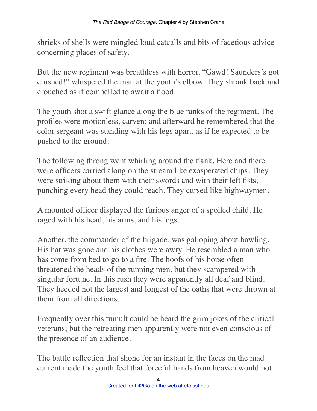shrieks of shells were mingled loud catcalls and bits of facetious advice concerning places of safety.

But the new regiment was breathless with horror. "Gawd! Saunders's got crushed!" whispered the man at the youth's elbow. They shrank back and crouched as if compelled to await a flood.

The youth shot a swift glance along the blue ranks of the regiment. The profiles were motionless, carven; and afterward he remembered that the color sergeant was standing with his legs apart, as if he expected to be pushed to the ground.

The following throng went whirling around the flank. Here and there were officers carried along on the stream like exasperated chips. They were striking about them with their swords and with their left fists, punching every head they could reach. They cursed like highwaymen.

A mounted officer displayed the furious anger of a spoiled child. He raged with his head, his arms, and his legs.

Another, the commander of the brigade, was galloping about bawling. His hat was gone and his clothes were awry. He resembled a man who has come from bed to go to a fire. The hoofs of his horse often threatened the heads of the running men, but they scampered with singular fortune. In this rush they were apparently all deaf and blind. They heeded not the largest and longest of the oaths that were thrown at them from all directions.

Frequently over this tumult could be heard the grim jokes of the critical veterans; but the retreating men apparently were not even conscious of the presence of an audience.

The battle reflection that shone for an instant in the faces on the mad current made the youth feel that forceful hands from heaven would not